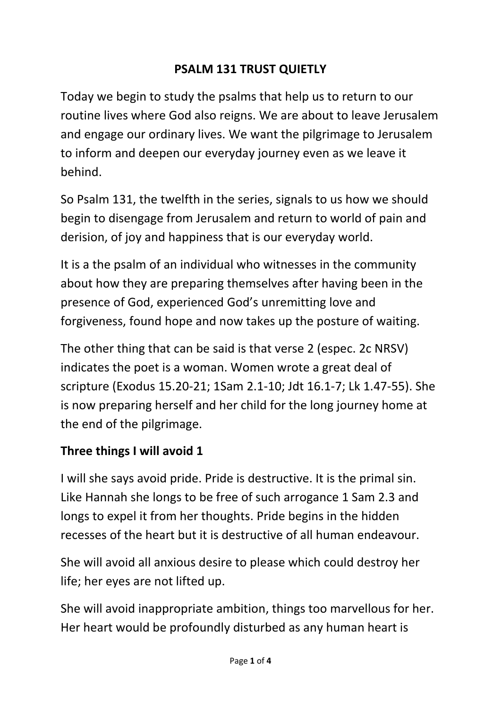#### **PSALM 131 TRUST QUIETLY**

Today we begin to study the psalms that help us to return to our routine lives where God also reigns. We are about to leave Jerusalem and engage our ordinary lives. We want the pilgrimage to Jerusalem to inform and deepen our everyday journey even as we leave it behind.

So Psalm 131, the twelfth in the series, signals to us how we should begin to disengage from Jerusalem and return to world of pain and derision, of joy and happiness that is our everyday world.

It is a the psalm of an individual who witnesses in the community about how they are preparing themselves after having been in the presence of God, experienced God's unremitting love and forgiveness, found hope and now takes up the posture of waiting.

The other thing that can be said is that verse 2 (espec. 2c NRSV) indicates the poet is a woman. Women wrote a great deal of scripture (Exodus 15.20-21; 1Sam 2.1-10; Jdt 16.1-7; Lk 1.47-55). She is now preparing herself and her child for the long journey home at the end of the pilgrimage.

#### **Three things I will avoid 1**

I will she says avoid pride. Pride is destructive. It is the primal sin. Like Hannah she longs to be free of such arrogance 1 Sam 2.3 and longs to expel it from her thoughts. Pride begins in the hidden recesses of the heart but it is destructive of all human endeavour.

She will avoid all anxious desire to please which could destroy her life; her eyes are not lifted up.

She will avoid inappropriate ambition, things too marvellous for her. Her heart would be profoundly disturbed as any human heart is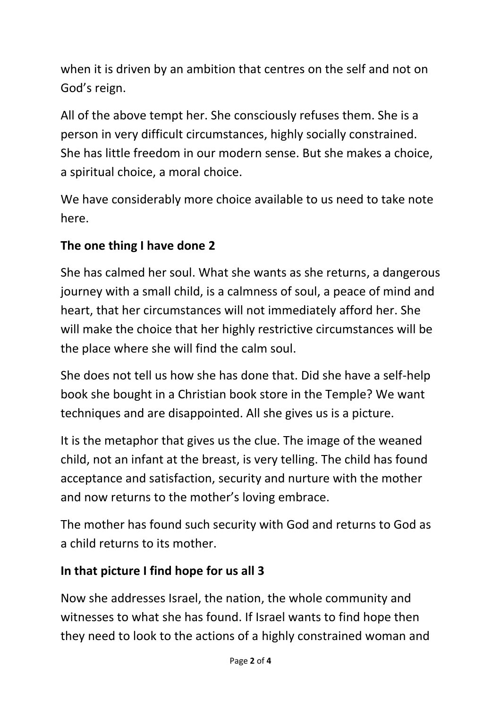when it is driven by an ambition that centres on the self and not on God's reign.

All of the above tempt her. She consciously refuses them. She is a person in very difficult circumstances, highly socially constrained. She has little freedom in our modern sense. But she makes a choice, a spiritual choice, a moral choice.

We have considerably more choice available to us need to take note here.

# **The one thing I have done 2**

She has calmed her soul. What she wants as she returns, a dangerous journey with a small child, is a calmness of soul, a peace of mind and heart, that her circumstances will not immediately afford her. She will make the choice that her highly restrictive circumstances will be the place where she will find the calm soul.

She does not tell us how she has done that. Did she have a self-help book she bought in a Christian book store in the Temple? We want techniques and are disappointed. All she gives us is a picture.

It is the metaphor that gives us the clue. The image of the weaned child, not an infant at the breast, is very telling. The child has found acceptance and satisfaction, security and nurture with the mother and now returns to the mother's loving embrace.

The mother has found such security with God and returns to God as a child returns to its mother.

## **In that picture I find hope for us all 3**

Now she addresses Israel, the nation, the whole community and witnesses to what she has found. If Israel wants to find hope then they need to look to the actions of a highly constrained woman and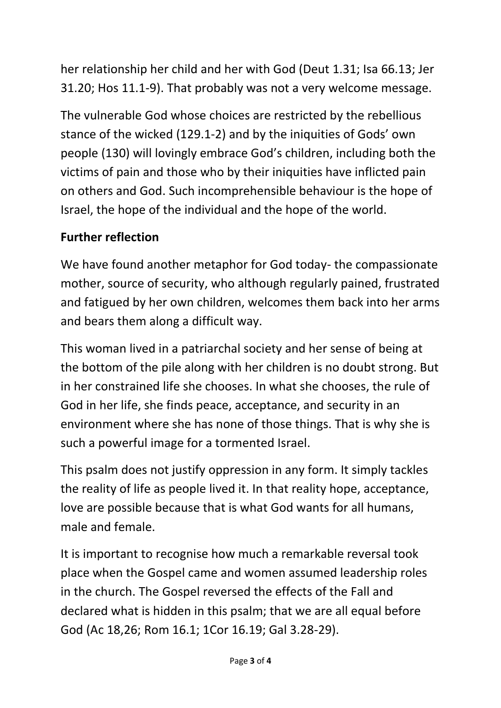her relationship her child and her with God (Deut 1.31; Isa 66.13; Jer 31.20; Hos 11.1-9). That probably was not a very welcome message.

The vulnerable God whose choices are restricted by the rebellious stance of the wicked (129.1-2) and by the iniquities of Gods' own people (130) will lovingly embrace God's children, including both the victims of pain and those who by their iniquities have inflicted pain on others and God. Such incomprehensible behaviour is the hope of Israel, the hope of the individual and the hope of the world.

## **Further reflection**

We have found another metaphor for God today- the compassionate mother, source of security, who although regularly pained, frustrated and fatigued by her own children, welcomes them back into her arms and bears them along a difficult way.

This woman lived in a patriarchal society and her sense of being at the bottom of the pile along with her children is no doubt strong. But in her constrained life she chooses. In what she chooses, the rule of God in her life, she finds peace, acceptance, and security in an environment where she has none of those things. That is why she is such a powerful image for a tormented Israel.

This psalm does not justify oppression in any form. It simply tackles the reality of life as people lived it. In that reality hope, acceptance, love are possible because that is what God wants for all humans, male and female.

It is important to recognise how much a remarkable reversal took place when the Gospel came and women assumed leadership roles in the church. The Gospel reversed the effects of the Fall and declared what is hidden in this psalm; that we are all equal before God (Ac 18,26; Rom 16.1; 1Cor 16.19; Gal 3.28-29).